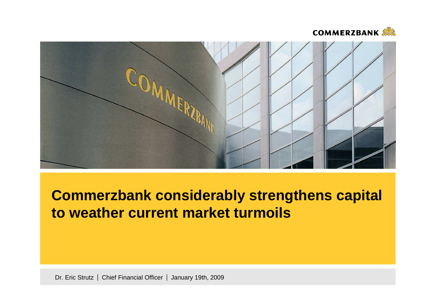



# **Commerzbank considerably strengthens capital to weather current market turmoils**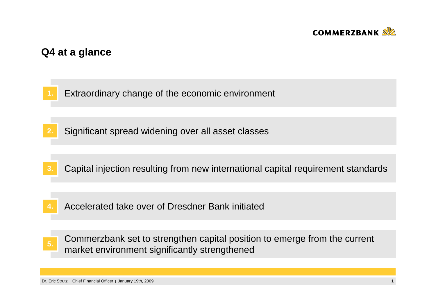

# **Q4 at a glance**

- **1.**Extraordinary change of the economic environment
- **2.**Significant spread widening over all asset classes
- **3.**Capital injection resulting from new international capital requirement standards
- Accelerated take over of Dresdner Bank initiated**4.**
- Commerzbank set to strengthen capital position to emerge from the current market environment significantly strengthened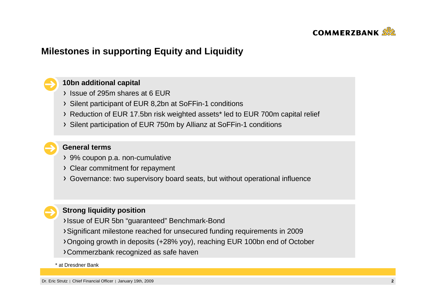

# **Milestones in supporting Equity and Liquidity**

### **10bn additional capital**

- Issue of 295m shares at 6 EUR
- Silent participant of EUR 8,2bn at SoFFin-1 conditions
- Reduction of EUR 17.5bn risk weighted assets\* led to EUR 700m capital relief
- Silent participation of EUR 750m by Allianz at SoFFin-1 conditions

# **General terms**

- 9% coupon p.a. non-cumulative
- Clear commitment for repayment
- Governance: two supervisory board seats, but without operational influence

### **Strong liquidity position**

- Issue of EUR 5bn "guaranteed" Benchmark-Bond
- Significant milestone reached for unsecured funding requirements in 2009
- Ongoing growth in deposits (+28% yoy), reaching EUR 100bn end of October
- Commerzbank recognized as safe haven

### \* at Dresdner Bank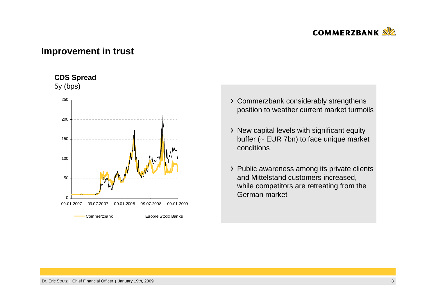

# **Improvement in trust**

### **CDS Spread**

5y (bps)



- Commerzbank considerably strengthens position to weather current market turmoils
- > New capital levels with significant equity buffer (~ EUR 7bn) to face unique market conditions
- Public awareness among its private clients and Mittelstand customers increased, while competitors are retreating from the German market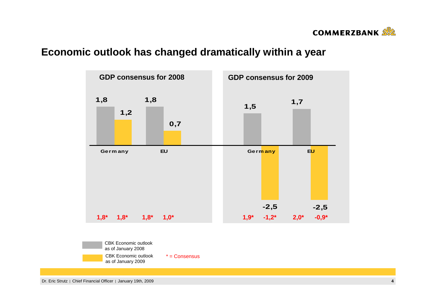

# **Economic outlook has changed dramatically within a year**

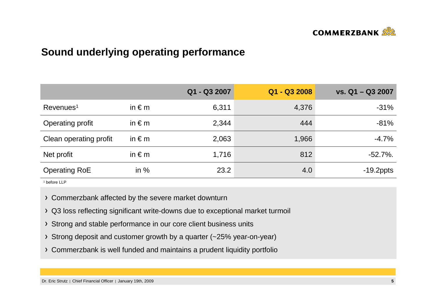

# **Sound underlying operating performance**

|                        |                 | Q1 - Q3 2007 | Q1 - Q3 2008 | vs. Q1 - Q3 2007 |
|------------------------|-----------------|--------------|--------------|------------------|
| Revenues <sup>1</sup>  | in $\epsilon$ m | 6,311        | 4,376        | $-31%$           |
| Operating profit       | in $\epsilon$ m | 2,344        | 444          | $-81%$           |
| Clean operating profit | in $\epsilon$ m | 2,063        | 1,966        | $-4.7%$          |
| Net profit             | in $\epsilon$ m | 1,716        | 812          | $-52.7\%$ .      |
| <b>Operating RoE</b>   | in $%$          | 23.2         | 4.0          | $-19.2$ ppts     |

1 before LLP

Commerzbank affected by the severe market downturn

- Q3 loss reflecting significant write-downs due to exceptional market turmoil
- > Strong and stable performance in our core client business units
- Strong deposit and customer growth by a quarter (~25% year-on-year)
- Commerzbank is well funded and maintains a prudent liquidity portfolio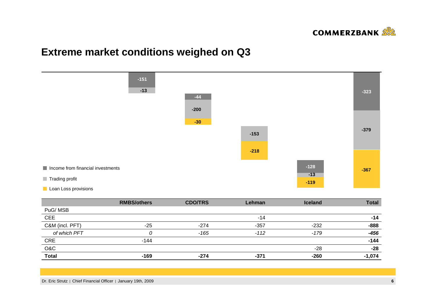

# **Extreme market conditions weighed on Q3**



|                 | <b>RMBS/others</b> | <b>CDO/TRS</b> | Lehman | <b>Iceland</b> | <b>Total</b> |
|-----------------|--------------------|----------------|--------|----------------|--------------|
| PuG/MSB         |                    |                |        |                |              |
| <b>CEE</b>      |                    |                | $-14$  |                | -14          |
| C&M (incl. PFT) | $-25$              | $-274$         | $-357$ | $-232$         | $-888$       |
| of which PFT    |                    | $-165$         | $-112$ | -179           | $-456$       |
| <b>CRE</b>      | $-144$             |                |        |                | $-144$       |
| O&C             |                    |                |        | -28            | $-28$        |
| <b>Total</b>    | $-169$             | $-274$         | $-371$ | $-260$         | $-1,074$     |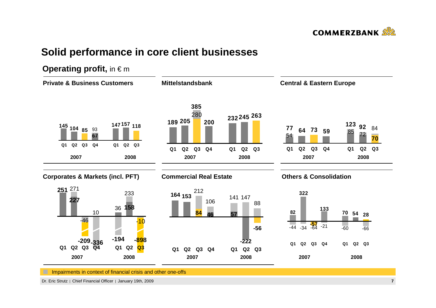

# **Solid performance in core client businesses**

# **Operating profit, in € m**

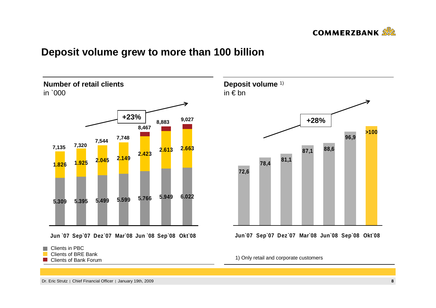

# **Deposit volume grew to more than 100 billion**





Clients of Bank Forum



**Jun`07 Sep`07 Dez`07 Mar`08 Jun`08 Sep`08 Okt`08**

1) Only retail and corporate customers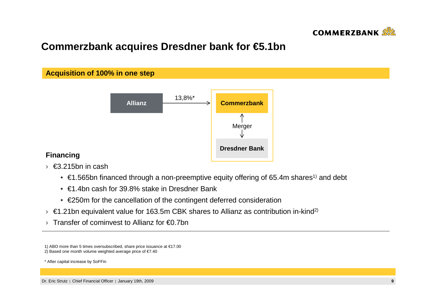

# **Commerzbank acquires Dresdner bank for €5.1bn**



### **Financing**

- › €3.215bn in cash
	- $\bullet \in$  €1.565bn financed through a non-preemptive equity offering of 65.4m shares<sup>1)</sup> and debt
	- €1.4bn cash for 39.8% stake in Dresdner Bank
	- €250m for the cancellation of the contingent deferred consideration
- $\rightarrow$  €1.21bn equivalent value for 163.5m CBK shares to Allianz as contribution in-kind<sup>2)</sup>
- › Transfer of cominvest to Allianz for €0.7bn

2) Based one month volume weighted average price of €7.40

\* After capital increase by SoFFin

<sup>1)</sup> ABO more than 5 times oversubscribed, share price issuance at €17.00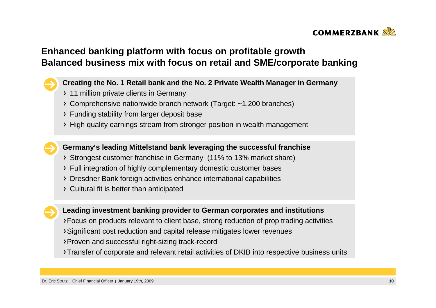

# **Enhanced banking platform with focus on profitable growth Balanced business mix with focus on retail and SME/corporate banking**

### **Creating the No. 1 Retail bank and the No. 2 Private Wealth Manager in Germany**

- > 11 million private clients in Germany
- Comprehensive nationwide branch network (Target: ~1,200 branches)
- Funding stability from larger deposit base
- High quality earnings stream from stronger position in wealth management

**Germany's leading Mittelstand bank leveraging the successful franchise**

- Strongest customer franchise in Germany (11% to 13% market share)
- Full integration of highly complementary domestic customer bases
- Dresdner Bank foreign activities enhance international capabilities
- Cultural fit is better than anticipated



### **Leading investment banking provider to German corporates and institutions**

- Focus on products relevant to client base, strong reduction of prop trading activities
- Significant cost reduction and capital release mitigates lower revenues
- Proven and successful right-sizing track-record
- Transfer of corporate and relevant retail activities of DKIB into respective business units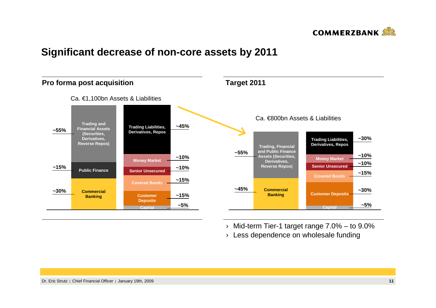

# **Significant decrease of non-core assets by 2011**



› Mid-term Tier-1 target range 7.0% – to 9.0%

 $\rightarrow$  Less dependence on wholesale funding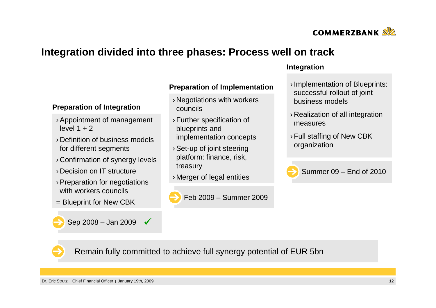

# **Integration divided into three phases: Process well on track**

### **Preparation of Implementation**

- › Negotiations with workers councils
- › Further specification of blueprints and implementation concepts
- › Set-up of joint steering platform: finance, risk, treasury
- › Merger of legal entities



### **Integration**

- › Implementation of Blueprints: successful rollout of joint business models
- › Realization of all integration measures
- › Full staffing of New CBK organization



Summer 09 – End of 2010

# **Preparation of Integration**

- › Appointment of management level  $1 + 2$
- › Definition of business models for different segments
- › Confirmation of synergy levels
- › Decision on IT structure
- › Preparation for negotiations with workers councils
- = Blueprint for New CBK

Sep 2008 – Jan 2009  $\sqrt{ }$ 

Remain fully committed to achieve full synergy potential of EUR 5bn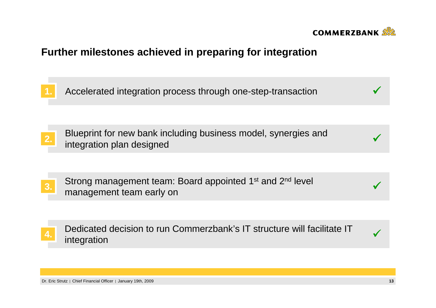

# **Further milestones achieved in preparing for integration**

**1.** Accelerated integration process through one-step-transaction $\overline{\phantom{a}}$  and  $\overline{\phantom{a}}$ 

Blueprint for new bank including business model, synergies andintegration plan designed2. Integration plan designed<br>integration plan designed

Strong management team: Board appointed 1<sup>st</sup> and 2<sup>nd</sup> level 3. Shong management team. Board appointed T and 2 never and 2 never and 2 never and 2 never and 3.

Dedicated decision to run Commerzbank's IT structure will facilitate IT integration4. be dicated decision to full commercially site structure will radiitate it.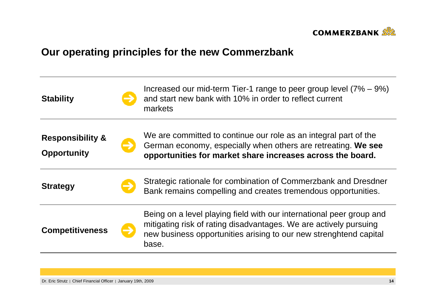

# **Our operating principles for the new Commerzbank**

| <b>Stability</b>                                  | Increased our mid-term Tier-1 range to peer group level $(7\% - 9\%)$<br>and start new bank with 10% in order to reflect current<br>markets                                                                             |
|---------------------------------------------------|-------------------------------------------------------------------------------------------------------------------------------------------------------------------------------------------------------------------------|
| <b>Responsibility &amp;</b><br><b>Opportunity</b> | We are committed to continue our role as an integral part of the<br>German economy, especially when others are retreating. We see<br>opportunities for market share increases across the board.                         |
| <b>Strategy</b>                                   | Strategic rationale for combination of Commerzbank and Dresdner<br>Bank remains compelling and creates tremendous opportunities.                                                                                        |
| <b>Competitiveness</b>                            | Being on a level playing field with our international peer group and<br>mitigating risk of rating disadvantages. We are actively pursuing<br>new business opportunities arising to our new strenghtend capital<br>base. |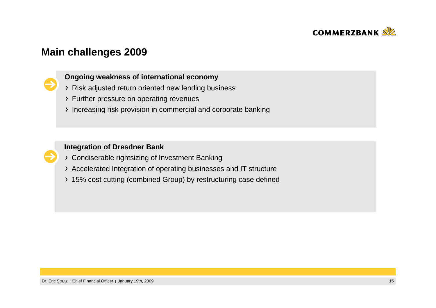

# **Main challenges 2009**



# **Ongoing weakness of international economy**

- Risk adjusted return oriented new lending business
- Further pressure on operating revenues
- Increasing risk provision in commercial and corporate banking

### **Integration of Dresdner Bank**

- Condiserable rightsizing of Investment Banking
- Accelerated Integration of operating businesses and IT structure
- 15% cost cutting (combined Group) by restructuring case defined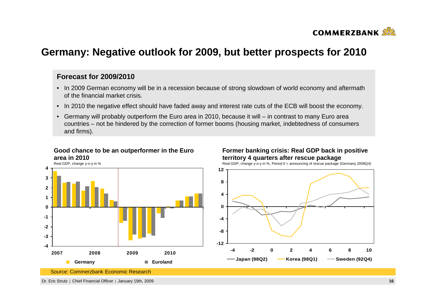

# **Germany: Negative outlook for 2009, but better prospects for 2010**

### **Forecast for 2009/2010**

- In 2009 German economy will be in a recession because of strong slowdown of world economy and aftermath of the financial market crisis.
- In 2010 the negative effect should have faded away and interest rate cuts of the ECB will boost the economy.
- Germany will probably outperform the Euro area in 2010, because it will in contrast to many Euro area countries – not be hindered by the correction of former booms (housing market, indebtedness of consumers and firms).

### **Good chance to be an outperformer in the Euro area in 2010**



### **Former banking crisis: Real GDP back in positive territory 4 quarters after rescue package**

Real GDP, change y-o-y in %, Period 0 = announcing of rescue package (Germany 2008Q4)



Source: Commerzbank Economic Research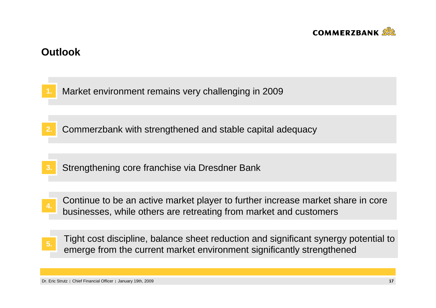

# **Outlook**

**1.**Market environment remains very challenging in 2009

- **2.**Commerzbank with strengthened and stable capital adequacy
- **3.**Strengthening core franchise via Dresdner Bank
- Continue to be an active market player to further increase market share in core businesses, while others are retreating from market and customers **4.**
- Tight cost discipline, balance sheet reduction and significant synergy potential to Examples and the current market environment significantly strengthened emerge from the current market environment significantly strengthened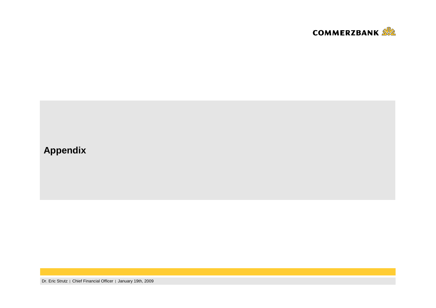

# **Appendix**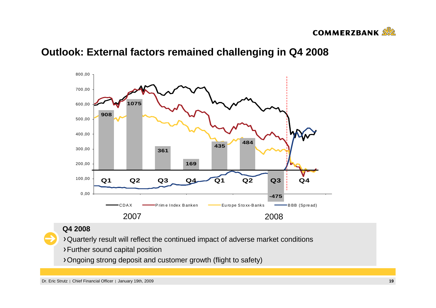

# **Outlook: External factors remained challenging in Q4 2008**



### **Q4 2008**

Quarterly result will reflect the continued impact of adverse market conditions

- Further sound capital position
- Ongoing strong deposit and customer growth (flight to safety)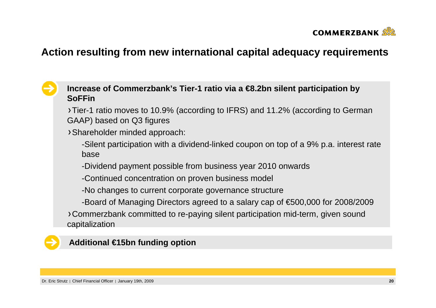

# **Action resulting from new international capital adequacy requirements**

# **Increase of Commerzbank's Tier-1 ratio via a €8.2bn silent participation by SoFFin**

 Tier-1 ratio moves to 10.9% (according to IFRS) and 11.2% (according to German GAAP) based on Q3 figures

Shareholder minded approach:

-Silent participation with a dividend-linked coupon on top of a 9% p.a. interest rate base

-Dividend payment possible from business year 2010 onwards

-Continued concentration on proven business model

-No changes to current corporate governance structure

-Board of Managing Directors agreed to a salary cap of €500,000 for 2008/2009

Commerzbank committed to re-paying silent participation mid-term, given sound capitalization

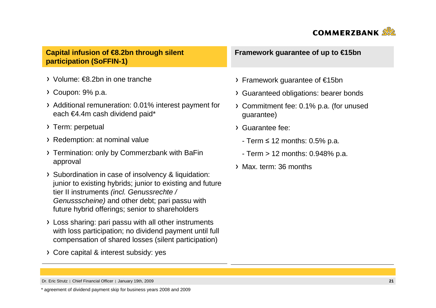

**Capital infusion of €8.2bn through silent participation (SoFFIN-1)**

- Volume: €8.2bn in one tranche
- Coupon: 9% p.a.
- Additional remuneration: 0.01% interest payment foreach €4.4m cash dividend paid\*
- > Term: perpetual
- Redemption: at nominal value
- Termination: only by Commerzbank with BaFinapproval
- > Subordination in case of insolvency & liquidation: junior to existing hybrids; junior to existing and future tier II instruments (incl. Genussrechte / Genussscheine) and other debt; pari passu with future hybrid offerings; senior to shareholders
- Loss sharing: pari passu with all other instruments with loss participation; no dividend payment until full compensation of shared losses (silent participation)
- Core capital & interest subsidy: yes

**Framework guarantee of up to €15bn**

- Framework guarantee of €15bn
- Guaranteed obligations: bearer bonds
- Commitment fee: 0.1% p.a. (for unusedguarantee)
- Guarantee fee:
	- Term <sup>≤</sup> 12 months: 0.5% p.a.
	- Term > 12 months: 0.948% p.a.
- Max. term: 36 months

\* agreement of dividend payment skip for business years 2008 and 2009

Dr. Eric Strutz | Chief Financial Officer | January 19th, 2009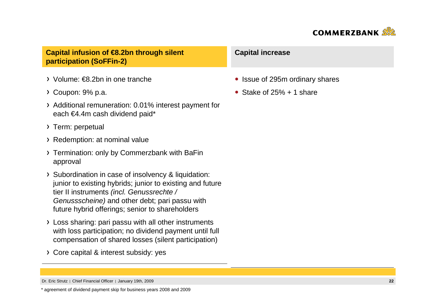

**Capital infusion of €8.2bn through silent participation (SoFFin-2)**

- Volume: €8.2bn in one tranche
- Coupon: 9% p.a.
- Additional remuneration: 0.01% interest payment foreach €4.4m cash dividend paid\*
- > Term: perpetual
- Redemption: at nominal value
- Termination: only by Commerzbank with BaFinapproval
- > Subordination in case of insolvency & liquidation: junior to existing hybrids; junior to existing and future tier II instruments (incl. Genussrechte / Genussscheine) and other debt; pari passu with future hybrid offerings; senior to shareholders
- Loss sharing: pari passu with all other instruments with loss participation; no dividend payment until full compensation of shared losses (silent participation)
- Core capital & interest subsidy: yes

### **Capital increase**

- Issue of 295m ordinary shares
- Stake of  $25% + 1$  share

\* agreement of dividend payment skip for business years 2008 and 2009

Dr. Eric Strutz | Chief Financial Officer | January 19th, 2009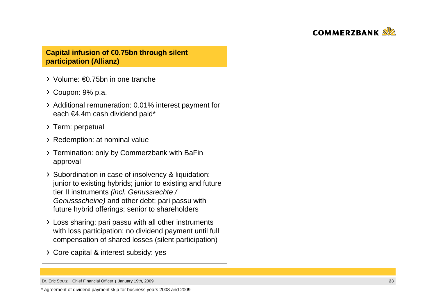

### **Capital infusion of €0.75bn through silent participation (Allianz)**

- Volume: €0.75bn in one tranche
- Coupon: 9% p.a.
- Additional remuneration: 0.01% interest payment foreach €4.4m cash dividend paid\*
- > Term: perpetual
- Redemption: at nominal value
- Termination: only by Commerzbank with BaFinapproval
- > Subordination in case of insolvency & liquidation: junior to existing hybrids; junior to existing and future tier II instruments (incl. Genussrechte / Genussscheine) and other debt; pari passu with future hybrid offerings; senior to shareholders
- Loss sharing: pari passu with all other instruments with loss participation; no dividend payment until full compensation of shared losses (silent participation)
- Core capital & interest subsidy: yes

Dr. Eric Strutz | Chief Financial Officer | January 19th, 2009

<sup>\*</sup> agreement of dividend payment skip for business years 2008 and 2009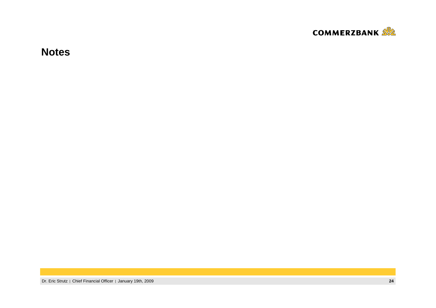

**Notes**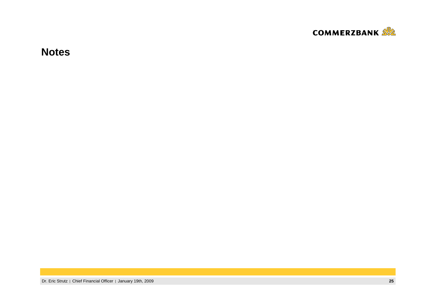

**Notes**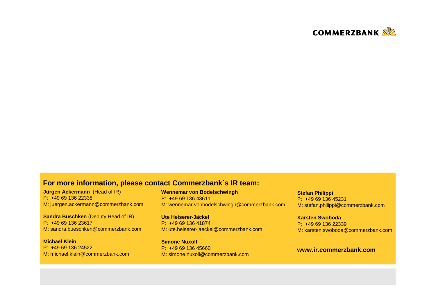

### **For more information, please contact Commerzbank´s IR team:**

**Jürgen Ackermann** (Head of IR) P: +49 69 136 22338M: juergen.ackermann@commerzbank.com

**Sandra Büschken** (Deputy Head of IR) P: +49 69 136 23617M: sandra.bueschken@commerzbank.com

**Michael Klein** P: +49 69 136 24522M: michael.klein@commerzbank.com **Wennemar von Bodelschwingh**P: +49 69 136 43611M: wennemar.vonbodelschwingh@commerzbank.com

**Ute Heiserer-Jäckel** P: +49 69 136 41874M: ute.heiserer-jaeckel@commerzbank.com

**Simone Nuxoll** P: +49 69 136 45660M: simone.nuxoll@commerzbank.com **Stefan Philippi** P: +49 69 136 45231M: stefan.philippi@commerzbank.com

**Karsten Swoboda** P: +49 69 136 22339M: karsten.swoboda@commerzbank.com

### **www.ir.commerzbank.com**